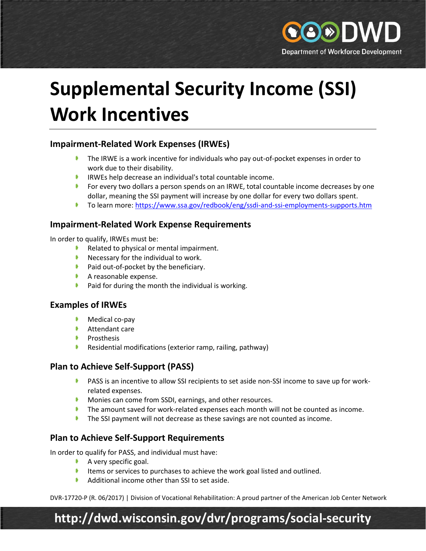

# **Supplemental Security Income (SSI) Work Incentives**

## **Impairment-Related Work Expenses (IRWEs)**

- $\blacktriangleright$  The IRWE is a work incentive for individuals who pay out-of-pocket expenses in order to work due to their disability.
- IRWEs help decrease an individual's total countable income.
- **For every two dollars a person spends on an IRWE, total countable income decreases by one** dollar, meaning the SSI payment will increase by one dollar for every two dollars spent.
- To learn more:<https://www.ssa.gov/redbook/eng/ssdi-and-ssi-employments-supports.htm>

### **Impairment-Related Work Expense Requirements**

In order to qualify, IRWEs must be:

- Related to physical or mental impairment.
- $\blacktriangleright$  Necessary for the individual to work.
- Paid out-of-pocket by the beneficiary.
- $\blacktriangleright$  A reasonable expense.
- **Paid for during the month the individual is working.**

### **Examples of IRWEs**

- $\blacktriangleright$  Medical co-pay
- **Attendant care**
- $\blacktriangleright$  Prosthesis
- **Residential modifications (exterior ramp, railing, pathway)**

## **Plan to Achieve Self-Support (PASS)**

- **PASS** is an incentive to allow SSI recipients to set aside non-SSI income to save up for workrelated expenses.
- **Monies can come from SSDI, earnings, and other resources.**
- The amount saved for work-related expenses each month will not be counted as income.
- **The SSI payment will not decrease as these savings are not counted as income.**

## **Plan to Achieve Self-Support Requirements**

In order to qualify for PASS, and individual must have:

- $\blacktriangleright$  A very specific goal.
- Items or services to purchases to achieve the work goal listed and outlined.
- $\blacklozenge$  Additional income other than SSI to set aside.

DVR-17720-P (R. 06/2017) | Division of Vocational Rehabilitation: A proud partner of the American Job Center Network

# **http://dwd.wisconsin.gov/dvr/programs/social-security**